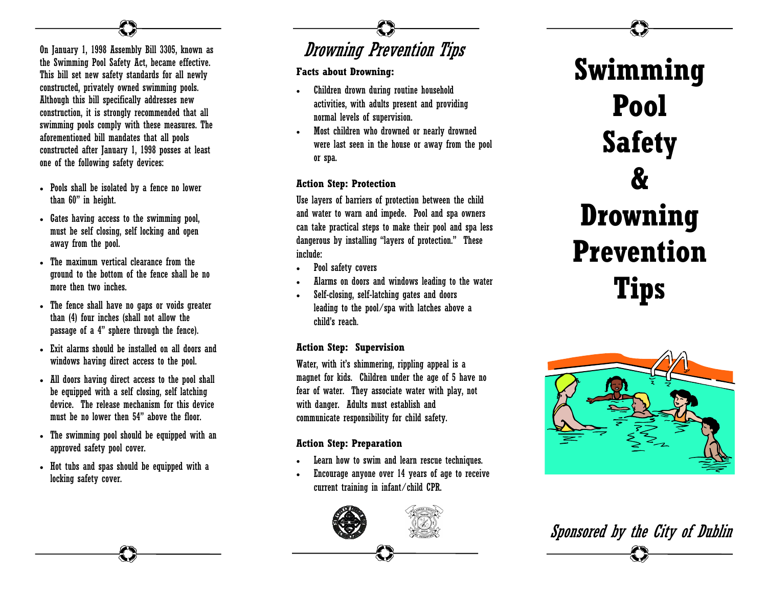#### On January 1, 1998 Assembly Bill 3305, known as the Swimming Pool Safety Act, became effective. This bill set new safety standards for all newly constructed, privately owned swimming pools. Although this bill specifically addresses new construction, it is strongly recommended that all swimming pools comply with these measures. The aforementioned bill mandates that all pools constructed after January 1, 1998 posses at least one of the following safety devices:

- Pools shall be isolated by a fence no lower than 60" in height.
- Gates having access to the swimming pool, must be self closing, self locking and open away from the pool.
- The maximum vertical clearance from the ground to the bottom of the fence shall be no more then two inches.
- The fence shall have no gaps or voids greater than (4) four inches (shall not allow the passage of a 4" sphere through the fence).
- Exit alarms should be installed on all doors and windows having direct access to the pool.
- All doors having direct access to the pool shall be equipped with a self closing, self latching device. The release mechanism for this device must be no lower then 54" above the floor.
- The swimming pool should be equipped with an approved safety pool cover.
- Hot tubs and spas should be equipped with a locking safety cover.

## Drowning Prevention Tips

#### **Facts about Drowning:**

- Children drown during routine household activities, with adults present and providing normal levels of supervision.
- Most children who drowned or nearly drowned were last seen in the house or away from the pool or spa.

#### **Action Step: Protection**

Use layers of barriers of protection between the child and water to warn and impede. Pool and spa owners can take practical steps to make their pool and spa less dangerous by installing "layers of protection." These include:

- Pool safety covers
- Alarms on doors and windows leading to the water
- Self-closing, self-latching gates and doors leading to the pool/spa with latches above a child's reach.

#### **Action Step: Supervision**

Water, with it's shimmering, rippling appeal is a magnet for kids. Children under the age of 5 have no fear of water. They associate water with play, not with danger. Adults must establish and communicate responsibility for child safety.

#### **Action Step: Preparation**

- Learn how to swim and learn rescue techniques.
- Encourage anyone over 14 years of age to receive current training in infant/child CPR.



# **Swimming Pool Safety & Drowning Prevention Tips**



Sponsored by the City of Dublin